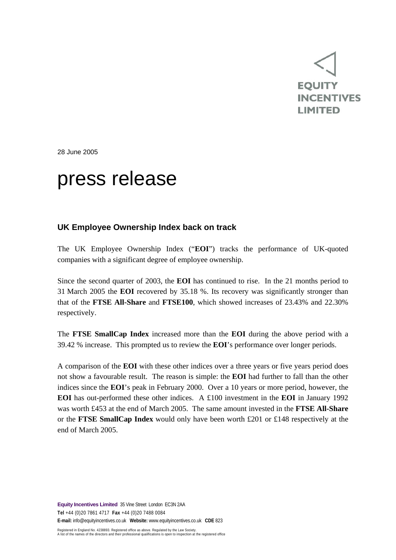## **EOUITY INCENTIVES LIMITED**

28 June 2005

## press release

## **UK Employee Ownership Index back on track**

The UK Employee Ownership Index ("**EOI**") tracks the performance of UK-quoted companies with a significant degree of employee ownership.

Since the second quarter of 2003, the **EOI** has continued to rise. In the 21 months period to 31 March 2005 the **EOI** recovered by 35.18 %. Its recovery was significantly stronger than that of the **FTSE All-Share** and **FTSE100**, which showed increases of 23.43% and 22.30% respectively.

The **FTSE SmallCap Index** increased more than the **EOI** during the above period with a 39.42 % increase. This prompted us to review the **EOI**'s performance over longer periods.

A comparison of the **EOI** with these other indices over a three years or five years period does not show a favourable result. The reason is simple: the **EOI** had further to fall than the other indices since the **EOI**'s peak in February 2000. Over a 10 years or more period, however, the **EOI** has out-performed these other indices. A £100 investment in the **EOI** in January 1992 was worth £453 at the end of March 2005. The same amount invested in the **FTSE All-Share** or the **FTSE SmallCap Index** would only have been worth £201 or £148 respectively at the end of March 2005.

**Equity Incentives Limited** 35 Vine Street London EC3N 2AA **Tel** +44 (0)20 7861 4717 **Fax** +44 (0)20 7488 0084 **E-mail:** info@equityincentives.co.uk **Website:** www.equityincentives.co.uk **CDE** 823

Registered in England No. 4238893. Registered office as above. Regulated by the Law Society. A list of the names of the directors and their professional qualifications is open to inspection at the registered office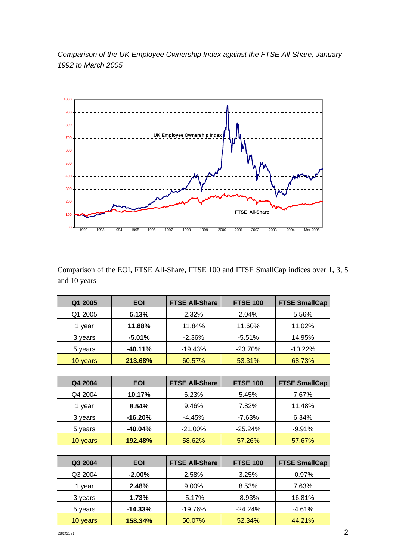*Comparison of the UK Employee Ownership Index against the FTSE All-Share, January 1992 to March 2005* 



Comparison of the EOI, FTSE All-Share, FTSE 100 and FTSE SmallCap indices over 1, 3, 5 and 10 years

| Q1 2005  | <b>EOI</b> | <b>FTSE All-Share</b> | <b>FTSE 100</b> | <b>FTSE SmallCap</b> |
|----------|------------|-----------------------|-----------------|----------------------|
| Q1 2005  | 5.13%      | 2.32%                 | 2.04%           | 5.56%                |
| year     | 11.88%     | 11.84%                | 11.60%          | 11.02%               |
| 3 years  | $-5.01%$   | $-2.36%$              | $-5.51%$        | 14.95%               |
| 5 years  | $-40.11%$  | $-19.43%$             | $-23.70%$       | $-10.22%$            |
| 10 vears | 213.68%    | 60.57%                | 53.31%          | 68.73%               |

| Q4 2004  | <b>EOI</b> | <b>FTSE All-Share</b> | <b>FTSE 100</b> | <b>FTSE SmallCap</b> |
|----------|------------|-----------------------|-----------------|----------------------|
| Q4 2004  | 10.17%     | 6.23%                 | 5.45%           | 7.67%                |
| year     | 8.54%      | 9.46%                 | 7.82%           | 11.48%               |
| 3 years  | $-16.20%$  | $-4.45%$              | $-7.63%$        | 6.34%                |
| 5 years  | $-40.04%$  | $-21.00\%$            | $-25.24\%$      | $-9.91%$             |
| 10 years | 192.48%    | 58.62%                | 57.26%          | 57.67%               |

| Q3 2004 | <b>EOI</b> | <b>FTSE All-Share</b> | <b>FTSE 100</b> | <b>FTSE SmallCap</b> |
|---------|------------|-----------------------|-----------------|----------------------|
| Q3 2004 | $-2.00\%$  | 2.58%                 | 3.25%           | $-0.97%$             |
| year    | 2.48%      | 9.00%                 | 8.53%           | 7.63%                |
| 3 years | 1.73%      | $-5.17%$              | $-8.93%$        | 16.81%               |
| 5 years | $-14.33%$  | $-19.76%$             | $-24.24%$       | $-4.61%$             |
| vears   | 158.34%    | 50.07%                | 52.34%          | 44.21%               |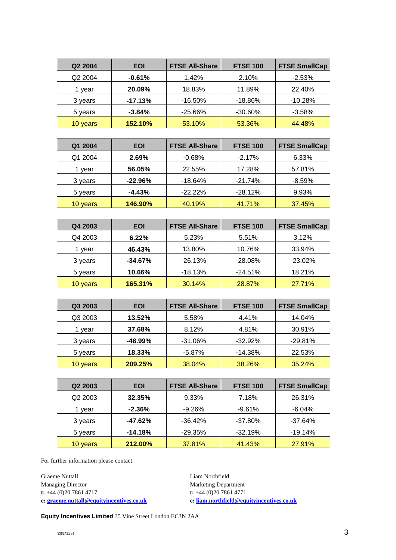| Q <sub>2</sub> 2004 | <b>EOI</b> | <b>FTSE All-Share</b> | <b>FTSE 100</b> | <b>FTSE SmallCap</b> |
|---------------------|------------|-----------------------|-----------------|----------------------|
| Q <sub>2</sub> 2004 | $-0.61%$   | 1.42%                 | 2.10%           | $-2.53%$             |
| year                | 20.09%     | 18.83%                | 11.89%          | 22.40%               |
| 3 years             | $-17.13%$  | $-16.50%$             | $-18.86\%$      | $-10.28%$            |
| 5 years             | $-3.84%$   | $-25.66%$             | $-30.60\%$      | $-3.58%$             |
| 10 years            | 152.10%    | 53.10%                | 53.36%          | 44.48%               |

| Q1 2004  | <b>EOI</b>     | <b>FTSE All-Share</b> | <b>FTSE 100</b> | <b>FTSE SmallCap</b> |
|----------|----------------|-----------------------|-----------------|----------------------|
| Q1 2004  | 2.69%          | $-0.68%$              | $-2.17%$        | 6.33%                |
| vear     | 56.05%         | 22.55%                | 17.28%          | 57.81%               |
| 3 years  | $-22.96\%$     | $-18.64%$             | $-21.74%$       | $-8.59%$             |
| 5 years  | $-4.43%$       | $-22.22%$             | $-28.12%$       | 9.93%                |
| 10 years | <b>146.90%</b> | 40.19%                | 41.71%          | 37.45%               |

| Q4 2003  | <b>EOI</b> | <b>FTSE All-Share</b> | <b>FTSE 100</b> | <b>FTSE SmallCap</b> |
|----------|------------|-----------------------|-----------------|----------------------|
| Q4 2003  | 6.22%      | 5.23%                 | 5.51%           | 3.12%                |
| year     | 46.43%     | 13.80%                | 10.76%          | 33.94%               |
| 3 years  | $-34.67%$  | $-26.13%$             | $-28.08%$       | $-23.02%$            |
| 5 years  | 10.66%     | $-18.13%$             | $-24.51%$       | 18.21%               |
| 10 years | 165.31%    | 30.14%                | 28.87%          | 27.71%               |

| Q3 2003  | <b>EOI</b> | <b>FTSE All-Share</b> | <b>FTSE 100</b> | <b>FTSE SmallCap</b> |
|----------|------------|-----------------------|-----------------|----------------------|
| Q3 2003  | 13.52%     | 5.58%                 | 4.41%           | 14.04%               |
| year     | 37.68%     | 8.12%                 | 4.81%           | 30.91%               |
| 3 years  | $-48.99\%$ | $-31.06%$             | $-32.92%$       | $-29.81%$            |
| 5 years  | 18.33%     | $-5.87\%$             | $-14.38%$       | 22.53%               |
| 10 years | 209.25%    | 38.04%                | 38.26%          | 35.24%               |

| Q <sub>2</sub> 2003 | <b>EOI</b> | <b>FTSE All-Share</b> | <b>FTSE 100</b> | <b>FTSE SmallCap</b> |
|---------------------|------------|-----------------------|-----------------|----------------------|
| Q <sub>2</sub> 2003 | 32.35%     | $9.33\%$              | 7.18%           | 26.31%               |
| year                | $-2.36%$   | $-9.26%$              | $-9.61%$        | $-6.04%$             |
| 3 years             | $-47.62%$  | $-36.42%$             | $-37.80\%$      | $-37.64%$            |
| 5 years             | $-14.18%$  | $-29.35%$             | $-32.19%$       | $-19.14%$            |
| 10 years            | 212.00%    | 37.81%                | 41.43%          | 27.91%               |

For further information please contact:

Graeme Nuttall Managing Director **t:** +44 (0)20 7861 4717 **e: [graeme.nuttall@equityincentives.co.uk](mailto:graeme.nuttall@equityincentives.co.uk)**  Liam Northfield Marketing Department **t:** +44 (0)20 7861 4771 **e: [liam.northfield@equityincentives.co.uk](mailto:liam.northfield@equityincentives.co.uk)** 

**Equity Incentives Limited** 35 Vine Street London EC3N 2AA